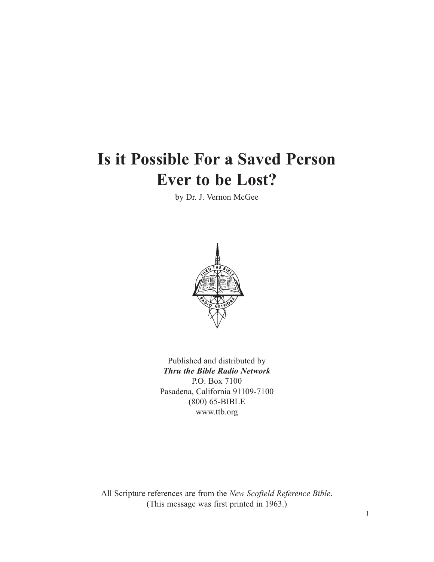# **Is it Possible For a Saved Person Ever to be Lost?**

by Dr. J. Vernon McGee



Published and distributed by *Thru the Bible Radio Network* P.O. Box 7100 Pasadena, California 91109-7100 (800) 65-BIBLE www.ttb.org

All Scripture references are from the *New Scofield Reference Bible*. (This message was first printed in 1963.)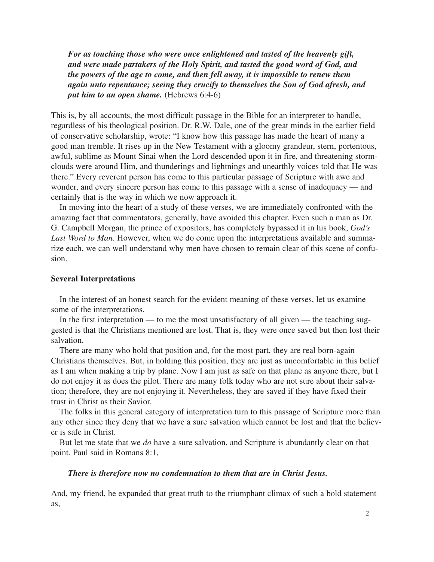*For as touching those who were once enlightened and tasted of the heavenly gift, and were made partakers of the Holy Spirit, and tasted the good word of God, and the powers of the age to come, and then fell away, it is impossible to renew them again unto repentance; seeing they crucify to themselves the Son of God afresh, and put him to an open shame.* (Hebrews 6:4-6)

This is, by all accounts, the most difficult passage in the Bible for an interpreter to handle, regardless of his theological position. Dr. R.W. Dale, one of the great minds in the earlier field of conservative scholarship, wrote: "I know how this passage has made the heart of many a good man tremble. It rises up in the New Testament with a gloomy grandeur, stern, portentous, awful, sublime as Mount Sinai when the Lord descended upon it in fire, and threatening stormclouds were around Him, and thunderings and lightnings and unearthly voices told that He was there." Every reverent person has come to this particular passage of Scripture with awe and wonder, and every sincere person has come to this passage with a sense of inadequacy — and certainly that is the way in which we now approach it.

In moving into the heart of a study of these verses, we are immediately confronted with the amazing fact that commentators, generally, have avoided this chapter. Even such a man as Dr. G. Campbell Morgan, the prince of expositors, has completely bypassed it in his book, *God's* Last Word to Man. However, when we do come upon the interpretations available and summarize each, we can well understand why men have chosen to remain clear of this scene of confusion.

#### **Several Interpretations**

In the interest of an honest search for the evident meaning of these verses, let us examine some of the interpretations.

In the first interpretation — to me the most unsatisfactory of all given — the teaching suggested is that the Christians mentioned are lost. That is, they were once saved but then lost their salvation.

There are many who hold that position and, for the most part, they are real born-again Christians themselves. But, in holding this position, they are just as uncomfortable in this belief as I am when making a trip by plane. Now I am just as safe on that plane as anyone there, but I do not enjoy it as does the pilot. There are many folk today who are not sure about their salvation; therefore, they are not enjoying it. Nevertheless, they are saved if they have fixed their trust in Christ as their Savior.

The folks in this general category of interpretation turn to this passage of Scripture more than any other since they deny that we have a sure salvation which cannot be lost and that the believer is safe in Christ.

But let me state that we *do* have a sure salvation, and Scripture is abundantly clear on that point. Paul said in Romans 8:1,

#### *There is therefore now no condemnation to them that are in Christ Jesus.*

And, my friend, he expanded that great truth to the triumphant climax of such a bold statement as,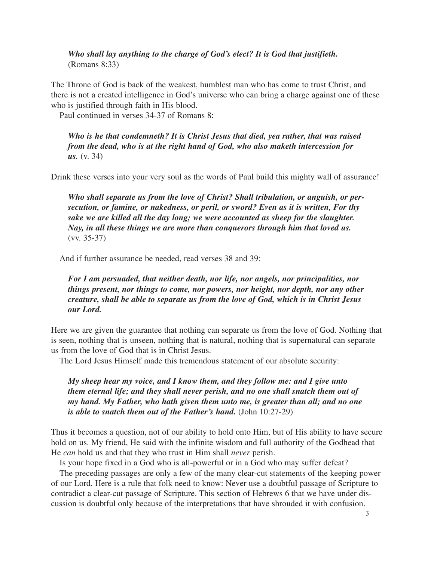*Who shall lay anything to the charge of God's elect? It is God that justifieth.* (Romans 8:33)

The Throne of God is back of the weakest, humblest man who has come to trust Christ, and there is not a created intelligence in God's universe who can bring a charge against one of these who is justified through faith in His blood.

Paul continued in verses 34-37 of Romans 8:

*Who is he that condemneth? It is Christ Jesus that died, yea rather, that was raised from the dead, who is at the right hand of God, who also maketh intercession for us.* (v. 34)

Drink these verses into your very soul as the words of Paul build this mighty wall of assurance!

*Who shall separate us from the love of Christ? Shall tribulation, or anguish, or persecution, or famine, or nakedness, or peril, or sword? Even as it is written, For thy sake we are killed all the day long; we were accounted as sheep for the slaughter. Nay, in all these things we are more than conquerors through him that loved us.* (vv. 35-37)

And if further assurance be needed, read verses 38 and 39:

*For I am persuaded, that neither death, nor life, nor angels, nor principalities, nor things present, nor things to come, nor powers, nor height, nor depth, nor any other creature, shall be able to separate us from the love of God, which is in Christ Jesus our Lord.*

Here we are given the guarantee that nothing can separate us from the love of God. Nothing that is seen, nothing that is unseen, nothing that is natural, nothing that is supernatural can separate us from the love of God that is in Christ Jesus.

The Lord Jesus Himself made this tremendous statement of our absolute security:

*My sheep hear my voice, and I know them, and they follow me: and I give unto them eternal life; and they shall never perish, and no one shall snatch them out of my hand. My Father, who hath given them unto me, is greater than all; and no one is able to snatch them out of the Father's hand.* (John 10:27-29)

Thus it becomes a question, not of our ability to hold onto Him, but of His ability to have secure hold on us. My friend, He said with the infinite wisdom and full authority of the Godhead that He *can* hold us and that they who trust in Him shall *never* perish.

Is your hope fixed in a God who is all-powerful or in a God who may suffer defeat?

The preceding passages are only a few of the many clear-cut statements of the keeping power of our Lord. Here is a rule that folk need to know: Never use a doubtful passage of Scripture to contradict a clear-cut passage of Scripture. This section of Hebrews 6 that we have under discussion is doubtful only because of the interpretations that have shrouded it with confusion.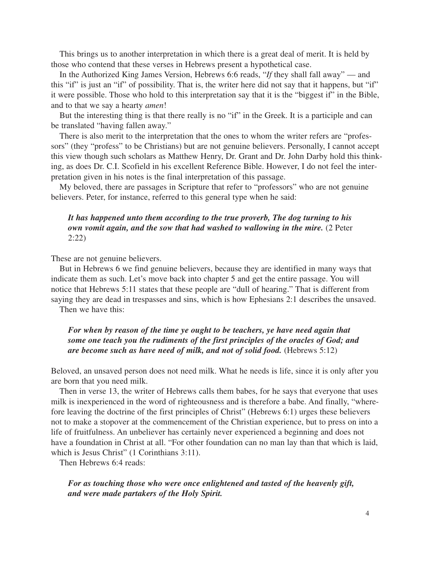This brings us to another interpretation in which there is a great deal of merit. It is held by those who contend that these verses in Hebrews present a hypothetical case.

In the Authorized King James Version, Hebrews 6:6 reads, "*If* they shall fall away" — and this "if" is just an "if" of possibility. That is, the writer here did not say that it happens, but "if" it were possible. Those who hold to this interpretation say that it is the "biggest if" in the Bible, and to that we say a hearty *amen*!

But the interesting thing is that there really is no "if" in the Greek. It is a participle and can be translated "having fallen away."

There is also merit to the interpretation that the ones to whom the writer refers are "professors" (they "profess" to be Christians) but are not genuine believers. Personally, I cannot accept this view though such scholars as Matthew Henry, Dr. Grant and Dr. John Darby hold this thinking, as does Dr. C.I. Scofield in his excellent Reference Bible. However, I do not feel the interpretation given in his notes is the final interpretation of this passage.

My beloved, there are passages in Scripture that refer to "professors" who are not genuine believers. Peter, for instance, referred to this general type when he said:

### *It has happened unto them according to the true proverb, The dog turning to his own vomit again, and the sow that had washed to wallowing in the mire.* (2 Peter 2:22)

These are not genuine believers.

But in Hebrews 6 we find genuine believers, because they are identified in many ways that indicate them as such. Let's move back into chapter 5 and get the entire passage. You will notice that Hebrews 5:11 states that these people are "dull of hearing." That is different from saying they are dead in trespasses and sins, which is how Ephesians 2:1 describes the unsaved.

Then we have this:

# *For when by reason of the time ye ought to be teachers, ye have need again that some one teach you the rudiments of the first principles of the oracles of God; and are become such as have need of milk, and not of solid food.* (Hebrews 5:12)

Beloved, an unsaved person does not need milk. What he needs is life, since it is only after you are born that you need milk.

Then in verse 13, the writer of Hebrews calls them babes, for he says that everyone that uses milk is inexperienced in the word of righteousness and is therefore a babe. And finally, "wherefore leaving the doctrine of the first principles of Christ" (Hebrews 6:1) urges these believers not to make a stopover at the commencement of the Christian experience, but to press on into a life of fruitfulness. An unbeliever has certainly never experienced a beginning and does not have a foundation in Christ at all. "For other foundation can no man lay than that which is laid, which is Jesus Christ" (1 Corinthians 3:11).

Then Hebrews 6:4 reads:

*For as touching those who were once enlightened and tasted of the heavenly gift, and were made partakers of the Holy Spirit.*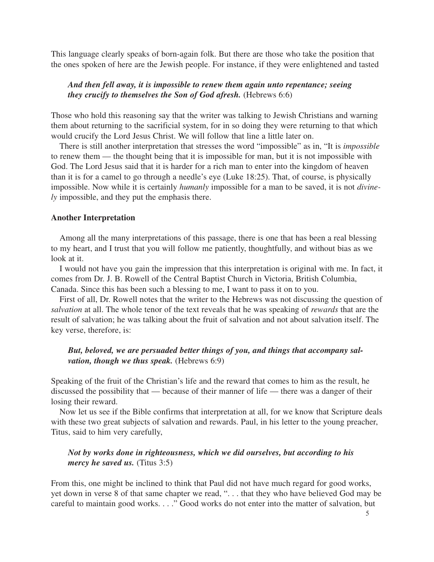This language clearly speaks of born-again folk. But there are those who take the position that the ones spoken of here are the Jewish people. For instance, if they were enlightened and tasted

# *And then fell away, it is impossible to renew them again unto repentance; seeing they crucify to themselves the Son of God afresh.* (Hebrews 6:6)

Those who hold this reasoning say that the writer was talking to Jewish Christians and warning them about returning to the sacrificial system, for in so doing they were returning to that which would crucify the Lord Jesus Christ. We will follow that line a little later on.

There is still another interpretation that stresses the word "impossible" as in, "It is *impossible* to renew them — the thought being that it is impossible for man, but it is not impossible with God. The Lord Jesus said that it is harder for a rich man to enter into the kingdom of heaven than it is for a camel to go through a needle's eye (Luke 18:25). That, of course, is physically impossible. Now while it is certainly *humanly* impossible for a man to be saved, it is not *divinely* impossible, and they put the emphasis there.

#### **Another Interpretation**

Among all the many interpretations of this passage, there is one that has been a real blessing to my heart, and I trust that you will follow me patiently, thoughtfully, and without bias as we look at it.

I would not have you gain the impression that this interpretation is original with me. In fact, it comes from Dr. J. B. Rowell of the Central Baptist Church in Victoria, British Columbia, Canada. Since this has been such a blessing to me, I want to pass it on to you.

First of all, Dr. Rowell notes that the writer to the Hebrews was not discussing the question of *salvation* at all. The whole tenor of the text reveals that he was speaking of *rewards* that are the result of salvation; he was talking about the fruit of salvation and not about salvation itself. The key verse, therefore, is:

# *But, beloved, we are persuaded better things of you, and things that accompany salvation, though we thus speak.* (Hebrews 6:9)

Speaking of the fruit of the Christian's life and the reward that comes to him as the result, he discussed the possibility that — because of their manner of life — there was a danger of their losing their reward.

Now let us see if the Bible confirms that interpretation at all, for we know that Scripture deals with these two great subjects of salvation and rewards. Paul, in his letter to the young preacher, Titus, said to him very carefully,

### *Not by works done in righteousness, which we did ourselves, but according to his mercy he saved us.* (Titus 3:5)

From this, one might be inclined to think that Paul did not have much regard for good works, yet down in verse 8 of that same chapter we read, ". . . that they who have believed God may be careful to maintain good works. . . ." Good works do not enter into the matter of salvation, but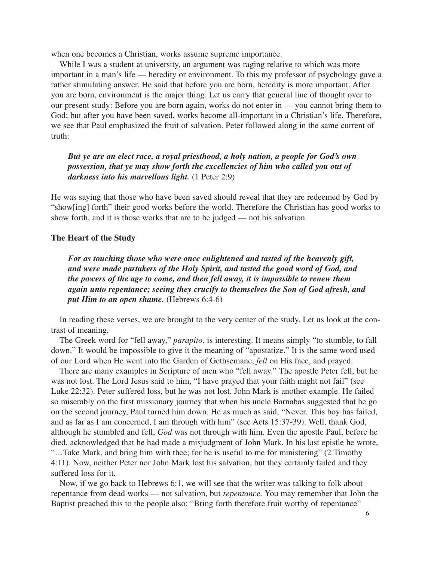when one becomes a Christian, works assume supreme importance.

While I was a student at university, an argument was raging relative to which was more important in a man's life — heredity or environment. To this my professor of psychology gave a rather stimulating answer. He said that before you are born, heredity is more important. After you are born, environment is the major thing. Let us carry that general line of thought over to our present study: Before you are born again, works do not enter in — you cannot bring them to God; but after you have been saved, works become all-important in a Christian's life. Therefore, we see that Paul emphasized the fruit of salvation. Peter followed along in the same current of truth:

# *But ye are an elect race, a royal priesthood, a holy nation, a people for God's own possession, that ye may show forth the excellencies of him who called you out of darkness into his marvellous light.* (1 Peter 2:9)

He was saying that those who have been saved should reveal that they are redeemed by God by "show[ing] forth" their good works before the world. Therefore the Christian has good works to show forth, and it is those works that are to be judged — not his salvation.

#### **The Heart of the Study**

*For as touching those who were once enlightened and tasted of the heavenly gift, and were made partakers of the Holy Spirit, and tasted the good word of God, and the powers of the age to come, and then fell away, it is impossible to renew them again unto repentance; seeing they crucify to themselves the Son of God afresh, and put Him to an open shame.* (Hebrews 6:4-6)

In reading these verses, we are brought to the very center of the study. Let us look at the contrast of meaning.

The Greek word for "fell away," *parapito,* is interesting. It means simply "to stumble, to fall down." It would be impossible to give it the meaning of "apostatize." It is the same word used of our Lord when He went into the Garden of Gethsemane, *fell* on His face, and prayed.

There are many examples in Scripture of men who "fell away." The apostle Peter fell, but he was not lost. The Lord Jesus said to him, "I have prayed that your faith might not fail" (see Luke 22:32). Peter suffered loss, but he was not lost. John Mark is another example. He failed so miserably on the first missionary journey that when his uncle Barnabas suggested that he go on the second journey, Paul turned him down. He as much as said, "Never. This boy has failed, and as far as I am concerned, I am through with him" (see Acts 15:37-39). Well, thank God, although he stumbled and fell, *God* was not through with him. Even the apostle Paul, before he died, acknowledged that he had made a misjudgment of John Mark. In his last epistle he wrote, "…Take Mark, and bring him with thee; for he is useful to me for ministering" (2 Timothy 4:11). Now, neither Peter nor John Mark lost his salvation, but they certainly failed and they suffered loss for it.

Now, if we go back to Hebrews 6:1, we will see that the writer was talking to folk about repentance from dead works — not salvation, but *repentance.* You may remember that John the Baptist preached this to the people also: "Bring forth therefore fruit worthy of repentance"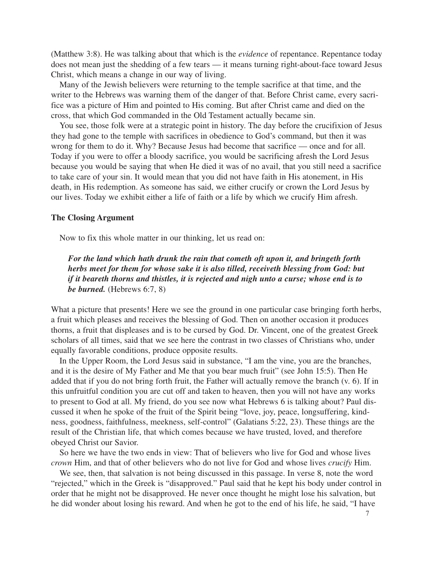(Matthew 3:8). He was talking about that which is the *evidence* of repentance. Repentance today does not mean just the shedding of a few tears — it means turning right-about-face toward Jesus Christ, which means a change in our way of living.

Many of the Jewish believers were returning to the temple sacrifice at that time, and the writer to the Hebrews was warning them of the danger of that. Before Christ came, every sacrifice was a picture of Him and pointed to His coming. But after Christ came and died on the cross, that which God commanded in the Old Testament actually became sin.

You see, those folk were at a strategic point in history. The day before the crucifixion of Jesus they had gone to the temple with sacrifices in obedience to God's command, but then it was wrong for them to do it. Why? Because Jesus had become that sacrifice — once and for all. Today if you were to offer a bloody sacrifice, you would be sacrificing afresh the Lord Jesus because you would be saying that when He died it was of no avail, that you still need a sacrifice to take care of your sin. It would mean that you did not have faith in His atonement, in His death, in His redemption. As someone has said, we either crucify or crown the Lord Jesus by our lives. Today we exhibit either a life of faith or a life by which we crucify Him afresh.

#### **The Closing Argument**

Now to fix this whole matter in our thinking, let us read on:

*For the land which hath drunk the rain that cometh oft upon it, and bringeth forth herbs meet for them for whose sake it is also tilled, receiveth blessing from God: but if it beareth thorns and thistles, it is rejected and nigh unto a curse; whose end is to be burned.* (Hebrews 6:7, 8)

What a picture that presents! Here we see the ground in one particular case bringing forth herbs, a fruit which pleases and receives the blessing of God. Then on another occasion it produces thorns, a fruit that displeases and is to be cursed by God. Dr. Vincent, one of the greatest Greek scholars of all times, said that we see here the contrast in two classes of Christians who, under equally favorable conditions, produce opposite results.

In the Upper Room, the Lord Jesus said in substance, "I am the vine, you are the branches, and it is the desire of My Father and Me that you bear much fruit" (see John 15:5). Then He added that if you do not bring forth fruit, the Father will actually remove the branch (v. 6). If in this unfruitful condition you are cut off and taken to heaven, then you will not have any works to present to God at all. My friend, do you see now what Hebrews 6 is talking about? Paul discussed it when he spoke of the fruit of the Spirit being "love, joy, peace, longsuffering, kindness, goodness, faithfulness, meekness, self-control" (Galatians 5:22, 23). These things are the result of the Christian life, that which comes because we have trusted, loved, and therefore obeyed Christ our Savior.

So here we have the two ends in view: That of believers who live for God and whose lives *crown* Him, and that of other believers who do not live for God and whose lives *crucify* Him.

We see, then, that salvation is not being discussed in this passage. In verse 8, note the word "rejected," which in the Greek is "disapproved." Paul said that he kept his body under control in order that he might not be disapproved. He never once thought he might lose his salvation, but he did wonder about losing his reward. And when he got to the end of his life, he said, "I have